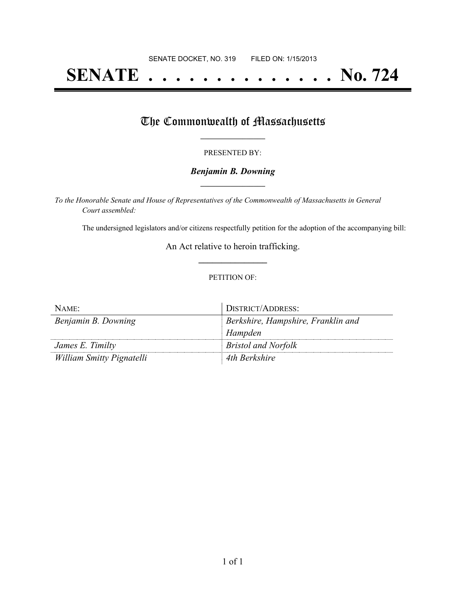# **SENATE . . . . . . . . . . . . . . No. 724**

## The Commonwealth of Massachusetts

#### PRESENTED BY:

#### *Benjamin B. Downing* **\_\_\_\_\_\_\_\_\_\_\_\_\_\_\_\_\_**

*To the Honorable Senate and House of Representatives of the Commonwealth of Massachusetts in General Court assembled:*

The undersigned legislators and/or citizens respectfully petition for the adoption of the accompanying bill:

An Act relative to heroin trafficking. **\_\_\_\_\_\_\_\_\_\_\_\_\_\_\_**

#### PETITION OF:

| NAME:                     | DISTRICT/ADDRESS:                  |
|---------------------------|------------------------------------|
| Benjamin B. Downing       | Berkshire, Hampshire, Franklin and |
|                           | Hampden                            |
| James E. Timilty          | <b>Bristol and Norfolk</b>         |
| William Smitty Pignatelli | 4th Berkshire                      |